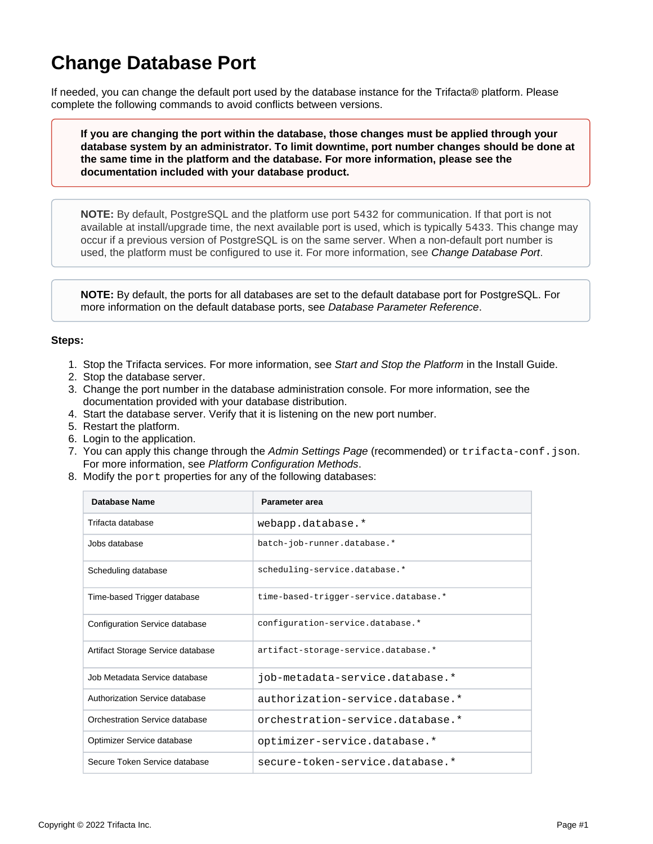## <span id="page-0-0"></span>**Change Database Port**

If needed, you can change the default port used by the database instance for the Trifacta® platform. Please complete the following commands to avoid conflicts between versions.

**If you are changing the port within the database, those changes must be applied through your database system by an administrator. To limit downtime, port number changes should be done at the same time in the platform and the database. For more information, please see the documentation included with your database product.**

**NOTE:** By default, PostgreSQL and the platform use port 5432 for communication. If that port is not available at install/upgrade time, the next available port is used, which is typically 5433. This change may occur if a previous version of PostgreSQL is on the same server. When a non-default port number is used, the platform must be configured to use it. For more information, see [Change Database Port](#page-0-0).

**NOTE:** By default, the ports for all databases are set to the default database port for PostgreSQL. For more information on the default database ports, see [Database Parameter Reference](https://docs.trifacta.com/display/r087/Database+Parameter+Reference).

## **Steps:**

- 1. Stop the Trifacta services. For more information, see [Start and Stop the Platform](https://docs.trifacta.com/display/r087/Start+and+Stop+the+Platform) in the Install Guide.
- 2. Stop the database server.
- 3. Change the port number in the database administration console. For more information, see the documentation provided with your database distribution.
- 4. Start the database server. Verify that it is listening on the new port number.
- 5. Restart the platform.
- 6. Login to the application.
- 7. You can apply this change through the [Admin Settings Page](https://docs.trifacta.com/display/r087/Admin+Settings+Page) (recommended) or trifacta-conf.json. For more information, see [Platform Configuration Methods](https://docs.trifacta.com/display/r087/Platform+Configuration+Methods).
- 8. Modify the port properties for any of the following databases:

| Database Name                     | Parameter area                        |
|-----------------------------------|---------------------------------------|
| Trifacta database                 | webapp.database.*                     |
| Jobs database                     | batch-job-runner.database.*           |
| Scheduling database               | scheduling-service.database.*         |
| Time-based Trigger database       | time-based-trigger-service.database.* |
| Configuration Service database    | configuration-service.database.*      |
| Artifact Storage Service database | artifact-storage-service.database.*   |
| Job Metadata Service database     | job-metadata-service.database.*       |
| Authorization Service database    | authorization-service.database.*      |
| Orchestration Service database    | orchestration-service.database.*      |
| Optimizer Service database        | optimizer-service.database.*          |
| Secure Token Service database     | secure-token-service.database.*       |